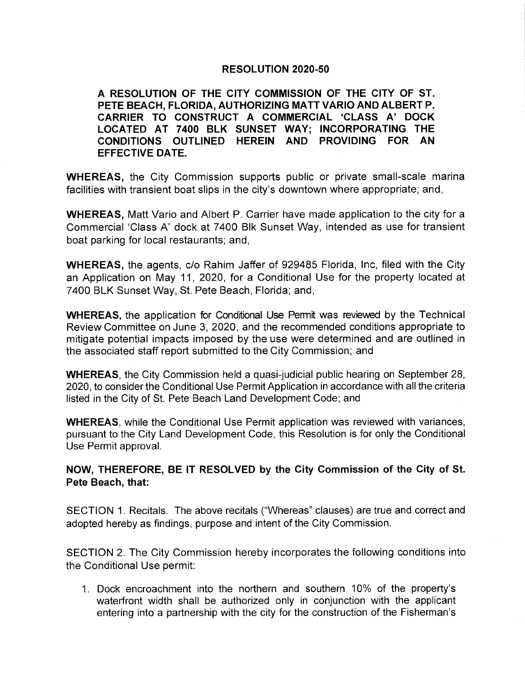A RESOLUTION OF THE CITY COMMISSION OF THE CITY OF ST. PETE BEACH, FLORIDA, AUTHORIZING MATT VARIO AND ALBERT P. RESOLUTION 2020-50<br>TION OF THE CITY COMMISSION OF THE CITY OF ST.<br>CH, FLORIDA, AUTHORIZING MATT VARIO AND ALBERT P.<br>TO CONSTRUCT A COMMERCIAL 'CLASS A' DOCK<br>AT 7400 BLK SUNSET WAY; INCORPORATING THE<br>IS OUTLINED HEREIN AND LOCATED AT 7400 BLK SUNSET WAY; INCORPORATING THE CONDITIONS OUTLINED HEREIN AND PROVIDING FOR AN EFFECTIVE DATE.

WHEREAS, the City Commission supports public or private small-scale marina facilities with transient boat slips in the city's downtown where appropriate; and,

WHEREAS, Matt Vario and Albert P. Carrier have made application to the city for a Commercial 'Class A' dock at 7400 Blk Sunset Way, intended as use for transient boat parking for local restaurants; and,

WHEREAS, the agents, c/o Rahim Jaffer of 929485 Florida, Inc, filed with the City an Application on May 11, 2020, for a Conditional Use for the property located at 7400 BLK Sunset Way, St. Pete Beach, Florida; and,

WHEREAS, the application for Conditional Use Permit was reviewed by the Technical Review Committee on June 3, 2020, and the recommended conditions appropriate to mitigate potential impacts imposed by the use were determined and are outlined in the associated staff report submitted to the City Commission; and

WHEREAS, the City Commission held a quasi-judicial public hearing on September 28, 2020, to consider the Conditional Use Permit Application in accordance with all the criteria listed in the City of St. Pete Beach Land Development Code; and

WHEREAS, while the Conditional Use Permit application was reviewed with variances, pursuant to the City Land Development Code, this Resolution is for only the Conditional Use Permit approval.

## NOW. THEREFORE, BE IT RESOLVED by the City Commission of the City of St. Pete Beach, that:

SECTION 1. Recitals. The above recitals (" Whereas" clauses) are true and correct and adopted hereby as findings, purpose and intent of the City Commission.

SECTION 2. The City Commission hereby incorporates the following conditions into the Conditional Use permit:

1. Dock encroachment into the northern and southern 10% of the property's waterfront width shall be authorized only in conjunction with the applicant entering into a partnership with the city for the construction of the Fisherman's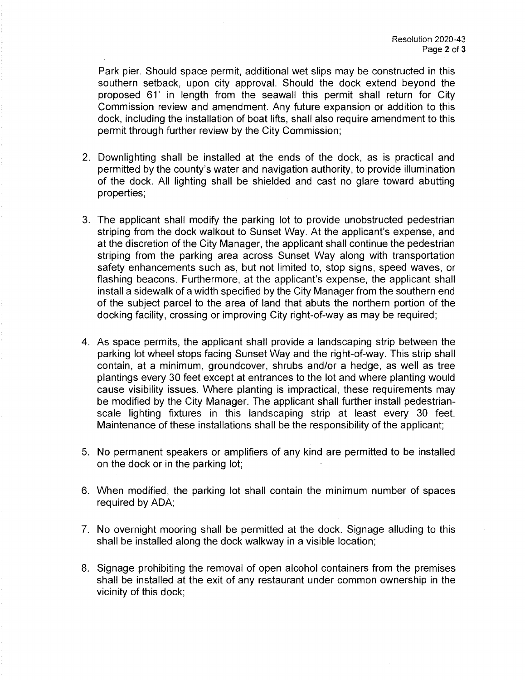Park pier. Should space permit, additional wet slips may be constructed in this southern setback, upon city approval. Should the dock extend beyond the proposed 61' in length from the seawall this permit shall return for City Commission review and amendment. Any future expansion or addition to this dock, including the installation of boat lifts, shall also require amendment to this permit through further review by the City Commission;

- 2. Downlighting shall be installed at the ends of the dock, as is practical and permitted by the county's water and navigation authority, to provide illumination of the dock. All lighting shall be shielded and cast no glare toward abutting properties;
- 3. The applicant shall modify the parking lot to provide unobstructed pedestrian striping from the dock walkout to Sunset Way. At the applicant's expense, and at the discretion of the City Manager, the applicant shall continue the pedestrian striping from the parking area across Sunset Way along with transportation safety enhancements such as, but not limited to, stop signs, speed waves, or flashing beacons. Furthermore, at the applicant's expense, the applicant shall install a sidewalk of a width specified by the City Manager from the southern end of the subject parcel to the area of land that abuts the northern portion of the docking facility, crossing or improving City right-of-way as may be required;
- 4. As space permits, the applicant shall provide a landscaping strip between the parking lot wheel stops facing Sunset Way and the right-of-way. This strip shall contain, at a minimum, groundcover, shrubs and/or a hedge, as well as tree plantings every 30 feet except at entrances to the lot and where planting would cause visibility issues. Where planting is impractical, these requirements may be modified by the City Manager. The applicant shall further install pedestrianscale lighting fixtures in this landscaping strip at least every 30 feet. Maintenance of these installations shall be the responsibility of the applicant;
- 5. No permanent speakers or amplifiers of any kind are permitted to be installed on the dock or in the parking lot;
- 6. When modified, the parking lot shall contain the minimum number of spaces required by ADA;
- 7. No overnight mooring shall be permitted at the dock. Signage alluding to this shall be installed along the dock walkway in a visible location;
- 8. Signage prohibiting the removal of open alcohol containers from the premises shall be installed at the exit of any restaurant under common ownership in the vicinity of this dock;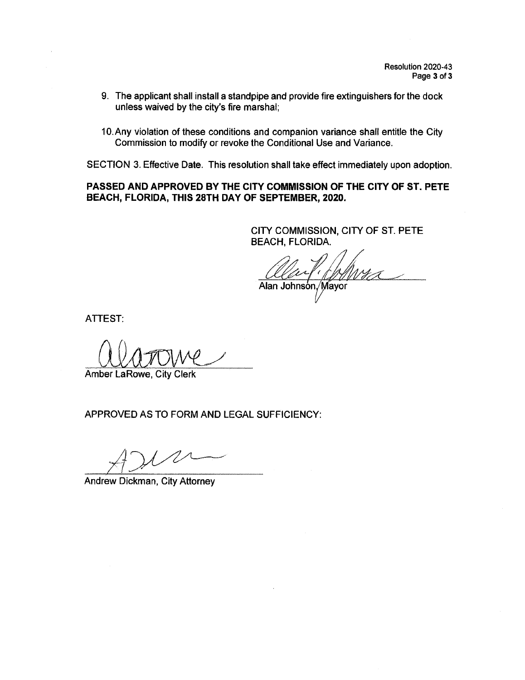- 9. The applicant shall install a standpipe and provide fire extinguishers for the dock unless waived by the city's fire marshal;
- 10. Any violation of these conditions and companion variance shall entitle the City Commission to modify or revoke the Conditional Use and Variance.

SECTION 3. Effective Date. This resolution shall take effect immediately upon adoption.

### PASSED AND APPROVED BY THE CITY COMMISSION OF THE CITY OF ST. PETE BEACH, FLORIDA, THIS 28TH DAY OF SEPTEMBER, 2020.

CITY COMMISSION, CITY OF ST. PETE BEACH, FLORIDA.

lan Johnsòn,⁄Mayor

ATTEST:

<u>Wardive</u>

Amber LaRowe, City Clerk

APPROVED AS TO FORM AND LEGAL SUFFICIENCY:

A

Andrew Dickman, City Attorney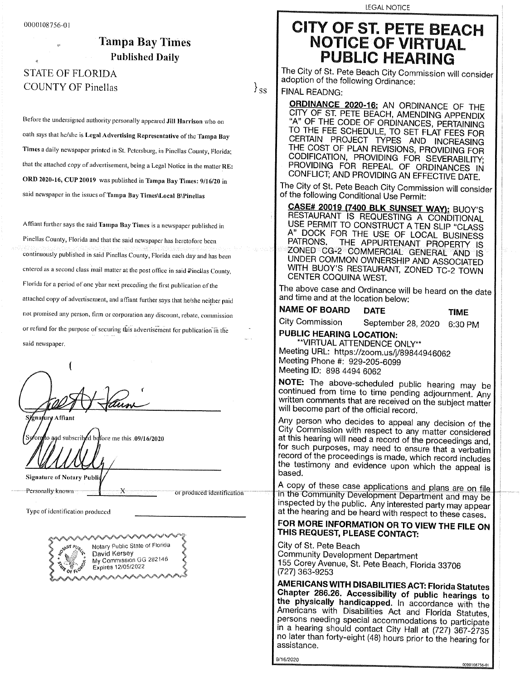## STATE OF FLORIDA<br>COUNTY OF Pinellas FOULD OF PINELIAS I SS

Before the undersigned authority personally appeared Jill Harrison who on oath says that he/she is Legal Advertising Representative of the Tampa Bay Times a daily newspaper printed in St. Petersburg, in Pinellas County, Florida; that the attached copy of advertisement, being a Legal Notice in the matter RE: ORD 2020-16, CUP 20019 was published in Tampa Bay Times: 9/16/20 in said newspaper in the issues of Tampa Bay Times\Local B\Pinellas

Affiant further says the said Tampa Bay Times is a newspaper published in Pinellas County, Florida and that the said newspaper has heretofore been continuously published in said Pinellas County, Florida each day and has been entered as a second class mail matter at the post office in said Pinellas County, Florida for a period of one year next preceding the first publication of the attached copy of advertisement, and affiant further says that he/she neither paid not promised any person, firm or corporation any discount, rebate, commission or refund for the purpose of securing this advertisement for publication in the or refund for the purpose of securing this advertisement for publication 'in the

 $\mathcal{I}\!\mathcal{U}\!\mathcal{M}$ Sjgnafurg Affiant

and subscribed before me this .09/16/2020

**Signature of Notary Public** 

Personally known

 $\mathcal{L}(\mathcal{L}(\mathcal{L}(\mathcal{L}(\mathcal{L}(\mathcal{L}(\mathcal{L}(\mathcal{L}(\mathcal{L}(\mathcal{L}(\mathcal{L}(\mathcal{L}(\mathcal{L}(\mathcal{L}(\mathcal{L}(\mathcal{L}(\mathcal{L}(\mathcal{L}(\mathcal{L}(\mathcal{L}(\mathcal{L}(\mathcal{L}(\mathcal{L}(\mathcal{L}(\mathcal{L}(\mathcal{L}(\mathcal{L}(\mathcal{L}(\mathcal{L}(\mathcal{L}(\mathcal{L}(\mathcal{L}(\mathcal{L}(\mathcal{L}(\mathcal{L}(\mathcal{L}(\mathcal{L$ 

Type of identification produced



LEGAL NOTICE

# 0000108756- 01 CITY OF a PETE BEACH Impa Bay Times<br>
Published Daily<br>
PUBLIC HEARING Published Daily PUBLIC HEARING

The City of St. Pete Beach City Commission will consider adoption of the fallowing Ordinance:

FINAL READNG:<br>**ORDINANCE 2020-16:** AN ORDINANCE OF THE CITY OF ST. PETE BEACH, AMENDING APPENDIX "A" OF THE CODE OF ORDINANCES, PERTAINING A" OF THE CODE OF ORDINANCES, PERTAINING TO THE FEE SCHEDULE, TO SET FLAT FEES FOR CERTAIN PROJECT TYPES AND INCREASING THE COST OF PLAN REVISIONS, FROVIDING FOR CODIFICATION, PROVIDING FOR SEVERABILITY;<br>PROVIDING FOR REPEAL OF ORDINANCES IN PROVIDING FOR REPEAL OF ORDINANCES IN CONFLICT; AND PROVIDING AN EFFECTIVE DATE.

The City of St. Pete Beach City Commission will consider  $\sim$  the following Conditional Use Permit.

**CASE# 20019 (7400 BLK SUNSET WAY): BUOY'S** RESTAURANT IS REQUESTING A CONDITIONAL USE PERMIT TO CONSTRUCT A TEN SLIP "CLASS USE PERMIT TO CONSTRUCT A TEN SLIP "ULASS" A BOOK FOR THE USE OF LUCAL BUSINESS PATRONS. THE APPURTENANT PROPERTY IS<br>ZONED CG-2 COMMERCIAL GENERAL AND IS UNDER COMMON OWNERSHIP AND ASSOCIATED UNDER COMMON OWNERSHIP AND ASSOCIATED WITH BUOY'S RESTAURANT, ZUNED TC-2 TOWN CENTER COQUINA WEST.

The above case and Ordinance will be heard on the date and time and at the location below:

**NAME OF BOARD DATE TIME**<br>City Commission September 28, 2020, 6:30 P September 28, 2020 6:30 PM

PUBLIC HEARING LOCATION: \*\*VIRTUAL ATTENDENCE ONLY\*\* WIRTUAL ATTENDENCE ONLY\*\*<br>|eeting URL: https://zoom.us/j/89844946062<br>|eeting Phone #: 929,295,6999 Meeting ID: 898 4494 6062 Meeting Phone #: 929-205-6099

NOTE: The above-scheduled public hearing may be NOTE: The above continued from the pending adjournment. Any  $\frac{1}{2}$  comments that are received on the subject with  $\frac{1}{2}$ . written comments that are received on the subject matter  $\|$ will become part of the official record.<br>Any person who decides to appeal any decision of the

City Commission with respect to any matter considered at this hearing will need a record of the proceedings and, and hearing will need a record of the proceedings and,  $\vert$  $\frac{1}{2}$  such purposes, may need to ensure that a verbatim record of the proceedings is made, which record includes the testimony and evidence upon which the appeal is<br>based. bou.

bopy of these case applications and plans are on file In the Community Development Department and may be<br>inspected by the public. Any interested party may appear pocted by the public. Any interested party may appear at the meaning and be heard with respect to these cases.

### FOR MORE INFORMATION OR TO VIEW THE FILE ON THIS REQUEST, PLEASE CONTACT:

g of St. Pete Beach<br>Immunity Development **Corey Development Department** 5 Corey Avenue, St. Pete Beach, Florida 33706<br>71 363-0253 77300-02533

ALITIONING WITH DISABILITIES ACT: Florida Statutes | Chapter 286.26. Accessibility of public hearings to the physically handicapped. In accordance with the Physically handicapped. In accordance with the  $\vert$ Americans with Disabilities Act and Florida Statutes, persons needing special accommodations to participate<br>in a hearing should contact City Hall at (727) 367-2735 a hearing should contact City Hall at  $(727)$  367-2735 have than forty-eight (49) hours prior to the hearing for  $\begin{bmatrix} a & b \\ c & d \end{bmatrix}$ 

9/16/2020